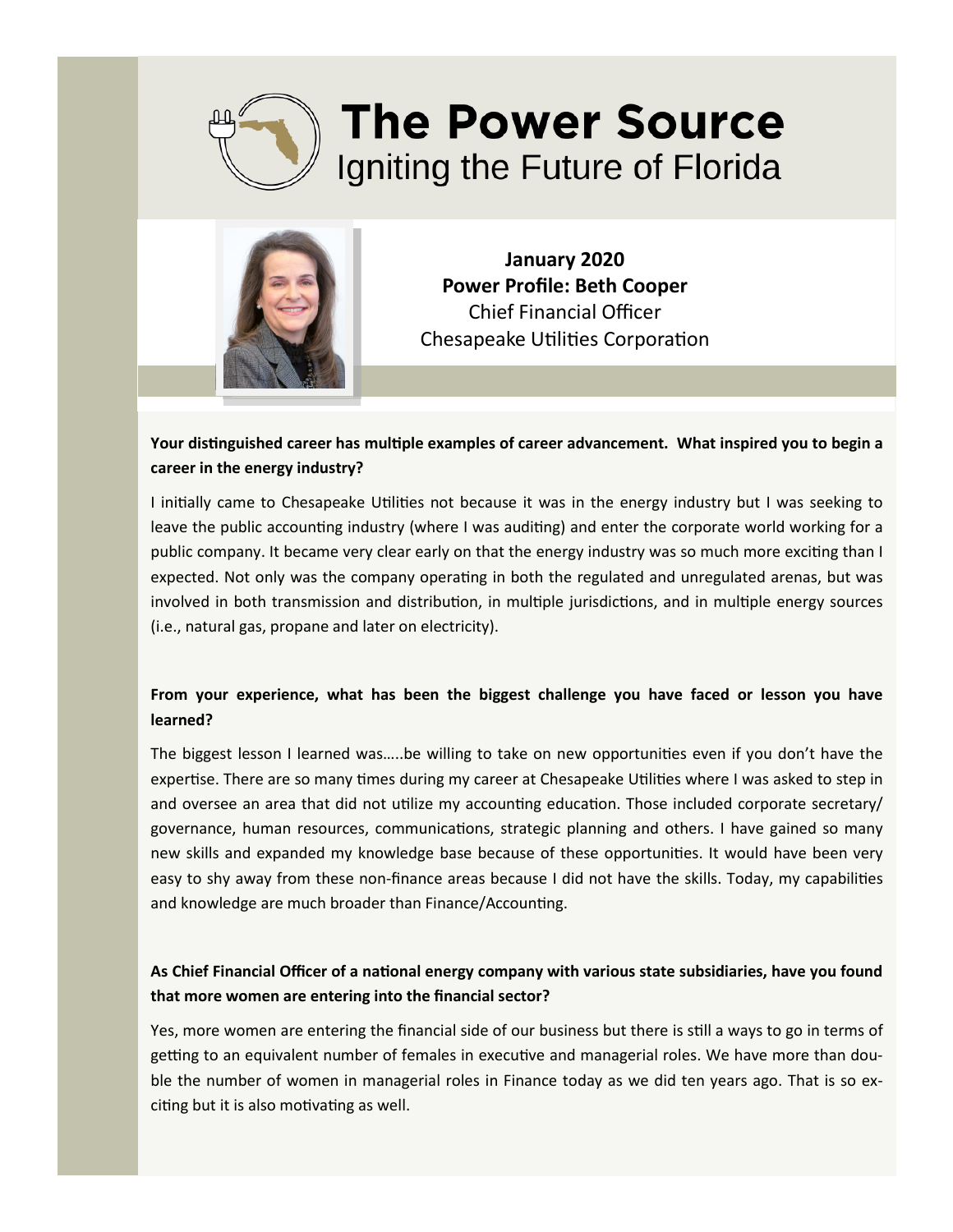



**January 2020 Power Profile: Beth Cooper**  Chief Financial Officer Chesapeake Utilities Corporation

### **Your distinguished career has multiple examples of career advancement. What inspired you to begin a career in the energy industry?**

I initially came to Chesapeake Utilities not because it was in the energy industry but I was seeking to leave the public accounting industry (where I was auditing) and enter the corporate world working for a public company. It became very clear early on that the energy industry was so much more exciting than I expected. Not only was the company operating in both the regulated and unregulated arenas, but was involved in both transmission and distribution, in multiple jurisdictions, and in multiple energy sources (i.e., natural gas, propane and later on electricity).

# **From your experience, what has been the biggest challenge you have faced or lesson you have learned?**

The biggest lesson I learned was…..be willing to take on new opportunities even if you don't have the expertise. There are so many times during my career at Chesapeake Utilities where I was asked to step in and oversee an area that did not utilize my accounting education. Those included corporate secretary/ governance, human resources, communications, strategic planning and others. I have gained so many new skills and expanded my knowledge base because of these opportunities. It would have been very easy to shy away from these non-finance areas because I did not have the skills. Today, my capabilities and knowledge are much broader than Finance/Accounting.

## **As Chief Financial Officer of a national energy company with various state subsidiaries, have you found that more women are entering into the financial sector?**

Yes, more women are entering the financial side of our business but there is still a ways to go in terms of getting to an equivalent number of females in executive and managerial roles. We have more than double the number of women in managerial roles in Finance today as we did ten years ago. That is so exciting but it is also motivating as well.